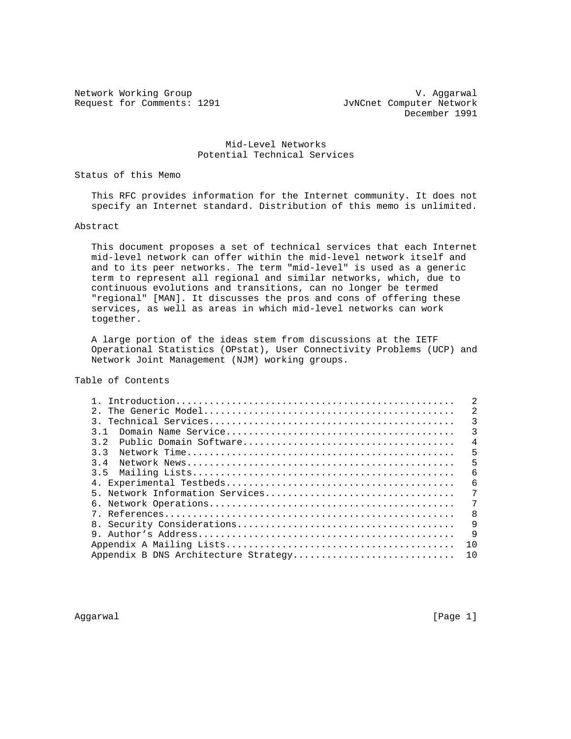Request for Comments: 1291 JvNCnet Computer Network

Network Working Group and Communications of the V. Aggarwal December 1991

## Mid-Level Networks Potential Technical Services

Status of this Memo

 This RFC provides information for the Internet community. It does not specify an Internet standard. Distribution of this memo is unlimited.

Abstract

 This document proposes a set of technical services that each Internet mid-level network can offer within the mid-level network itself and and to its peer networks. The term "mid-level" is used as a generic term to represent all regional and similar networks, which, due to continuous evolutions and transitions, can no longer be termed "regional" [MAN]. It discusses the pros and cons of offering these services, as well as areas in which mid-level networks can work together.

 A large portion of the ideas stem from discussions at the IETF Operational Statistics (OPstat), User Connectivity Problems (UCP) and Network Joint Management (NJM) working groups.

Table of Contents

|                                      | 2  |
|--------------------------------------|----|
|                                      | 3  |
| 31                                   | 3  |
| 32                                   | 4  |
| २ २                                  | 5  |
| $3\quad 4$                           | 5  |
| 3.5                                  | 6  |
|                                      | 6  |
|                                      | 7  |
|                                      | 7  |
|                                      | 8  |
|                                      | 9  |
|                                      | 9  |
|                                      | 10 |
| Appendix B DNS Architecture Strategy | 10 |

Aggarwal [Page 1]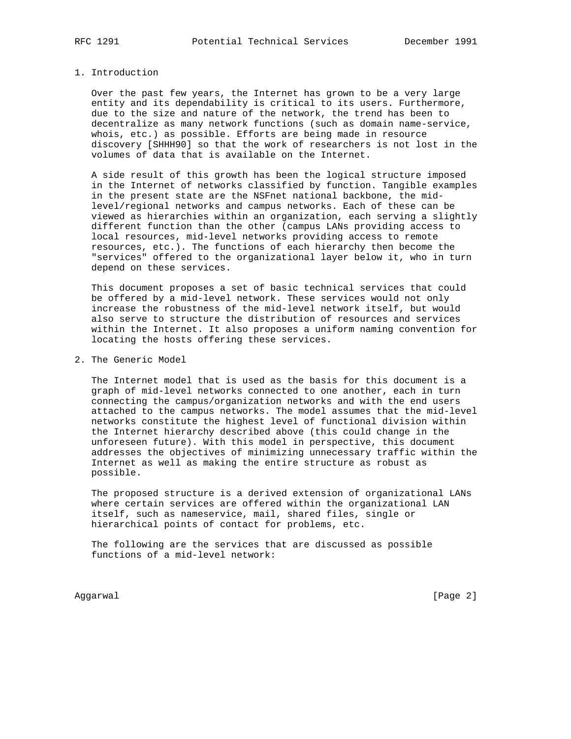## 1. Introduction

 Over the past few years, the Internet has grown to be a very large entity and its dependability is critical to its users. Furthermore, due to the size and nature of the network, the trend has been to decentralize as many network functions (such as domain name-service, whois, etc.) as possible. Efforts are being made in resource discovery [SHHH90] so that the work of researchers is not lost in the volumes of data that is available on the Internet.

 A side result of this growth has been the logical structure imposed in the Internet of networks classified by function. Tangible examples in the present state are the NSFnet national backbone, the mid level/regional networks and campus networks. Each of these can be viewed as hierarchies within an organization, each serving a slightly different function than the other (campus LANs providing access to local resources, mid-level networks providing access to remote resources, etc.). The functions of each hierarchy then become the "services" offered to the organizational layer below it, who in turn depend on these services.

 This document proposes a set of basic technical services that could be offered by a mid-level network. These services would not only increase the robustness of the mid-level network itself, but would also serve to structure the distribution of resources and services within the Internet. It also proposes a uniform naming convention for locating the hosts offering these services.

2. The Generic Model

 The Internet model that is used as the basis for this document is a graph of mid-level networks connected to one another, each in turn connecting the campus/organization networks and with the end users attached to the campus networks. The model assumes that the mid-level networks constitute the highest level of functional division within the Internet hierarchy described above (this could change in the unforeseen future). With this model in perspective, this document addresses the objectives of minimizing unnecessary traffic within the Internet as well as making the entire structure as robust as possible.

 The proposed structure is a derived extension of organizational LANs where certain services are offered within the organizational LAN itself, such as nameservice, mail, shared files, single or hierarchical points of contact for problems, etc.

 The following are the services that are discussed as possible functions of a mid-level network:

Aggarwal [Page 2]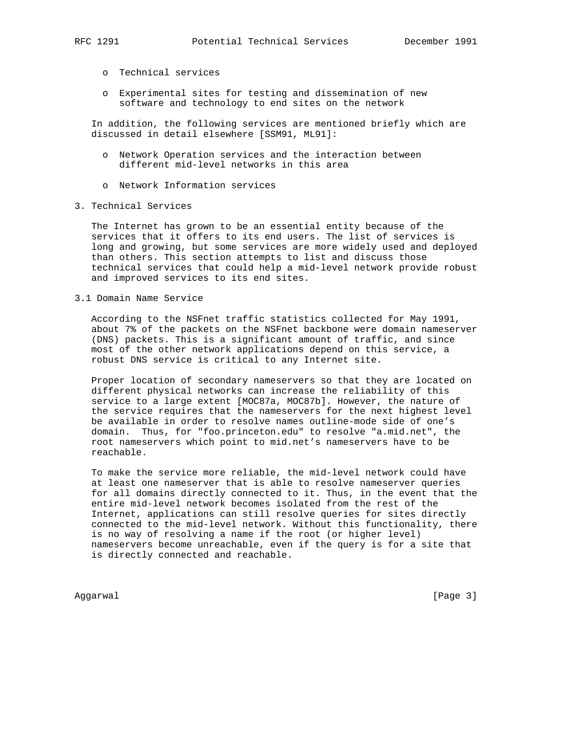- o Technical services
- o Experimental sites for testing and dissemination of new software and technology to end sites on the network

 In addition, the following services are mentioned briefly which are discussed in detail elsewhere [SSM91, ML91]:

- o Network Operation services and the interaction between different mid-level networks in this area
- o Network Information services
- 3. Technical Services

 The Internet has grown to be an essential entity because of the services that it offers to its end users. The list of services is long and growing, but some services are more widely used and deployed than others. This section attempts to list and discuss those technical services that could help a mid-level network provide robust and improved services to its end sites.

3.1 Domain Name Service

 According to the NSFnet traffic statistics collected for May 1991, about 7% of the packets on the NSFnet backbone were domain nameserver (DNS) packets. This is a significant amount of traffic, and since most of the other network applications depend on this service, a robust DNS service is critical to any Internet site.

 Proper location of secondary nameservers so that they are located on different physical networks can increase the reliability of this service to a large extent [MOC87a, MOC87b]. However, the nature of the service requires that the nameservers for the next highest level be available in order to resolve names outline-mode side of one's domain. Thus, for "foo.princeton.edu" to resolve "a.mid.net", the root nameservers which point to mid.net's nameservers have to be reachable.

 To make the service more reliable, the mid-level network could have at least one nameserver that is able to resolve nameserver queries for all domains directly connected to it. Thus, in the event that the entire mid-level network becomes isolated from the rest of the Internet, applications can still resolve queries for sites directly connected to the mid-level network. Without this functionality, there is no way of resolving a name if the root (or higher level) nameservers become unreachable, even if the query is for a site that is directly connected and reachable.

Aggarwal [Page 3]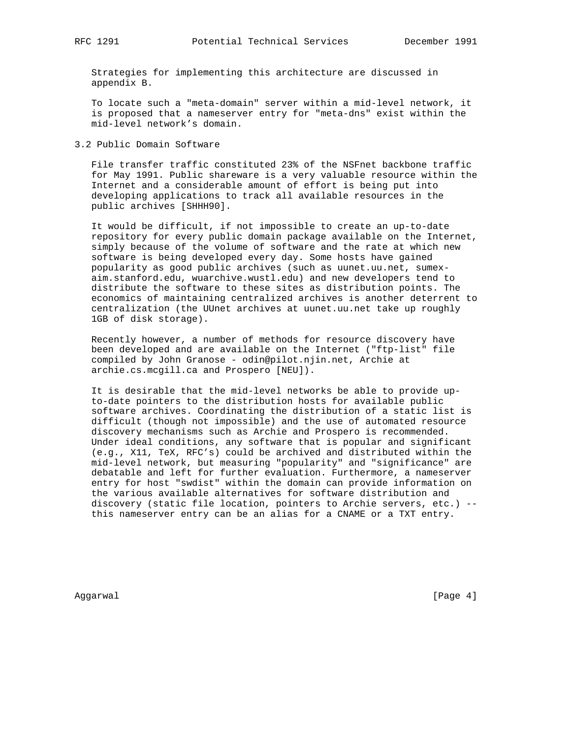Strategies for implementing this architecture are discussed in appendix B.

 To locate such a "meta-domain" server within a mid-level network, it is proposed that a nameserver entry for "meta-dns" exist within the mid-level network's domain.

3.2 Public Domain Software

 File transfer traffic constituted 23% of the NSFnet backbone traffic for May 1991. Public shareware is a very valuable resource within the Internet and a considerable amount of effort is being put into developing applications to track all available resources in the public archives [SHHH90].

 It would be difficult, if not impossible to create an up-to-date repository for every public domain package available on the Internet, simply because of the volume of software and the rate at which new software is being developed every day. Some hosts have gained popularity as good public archives (such as uunet.uu.net, sumex aim.stanford.edu, wuarchive.wustl.edu) and new developers tend to distribute the software to these sites as distribution points. The economics of maintaining centralized archives is another deterrent to centralization (the UUnet archives at uunet.uu.net take up roughly 1GB of disk storage).

 Recently however, a number of methods for resource discovery have been developed and are available on the Internet ("ftp-list" file compiled by John Granose - odin@pilot.njin.net, Archie at archie.cs.mcgill.ca and Prospero [NEU]).

 It is desirable that the mid-level networks be able to provide up to-date pointers to the distribution hosts for available public software archives. Coordinating the distribution of a static list is difficult (though not impossible) and the use of automated resource discovery mechanisms such as Archie and Prospero is recommended. Under ideal conditions, any software that is popular and significant (e.g., X11, TeX, RFC's) could be archived and distributed within the mid-level network, but measuring "popularity" and "significance" are debatable and left for further evaluation. Furthermore, a nameserver entry for host "swdist" within the domain can provide information on the various available alternatives for software distribution and discovery (static file location, pointers to Archie servers, etc.) - this nameserver entry can be an alias for a CNAME or a TXT entry.

Aggarwal [Page 4]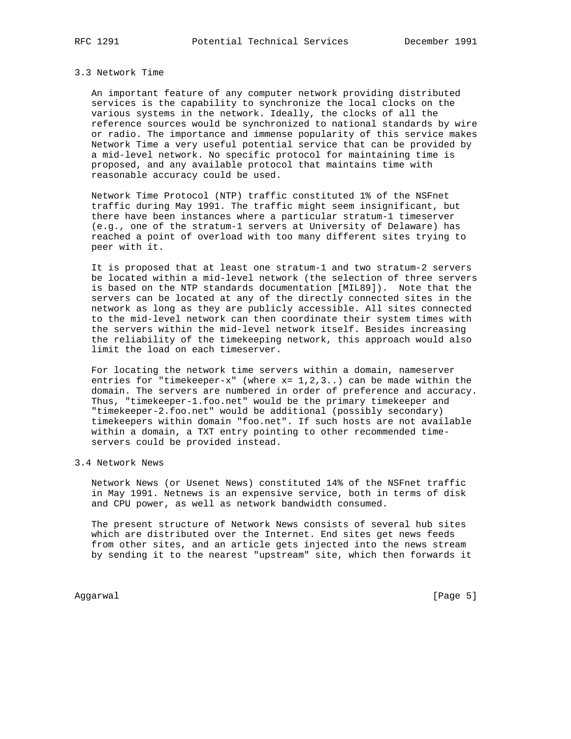#### 3.3 Network Time

 An important feature of any computer network providing distributed services is the capability to synchronize the local clocks on the various systems in the network. Ideally, the clocks of all the reference sources would be synchronized to national standards by wire or radio. The importance and immense popularity of this service makes Network Time a very useful potential service that can be provided by a mid-level network. No specific protocol for maintaining time is proposed, and any available protocol that maintains time with reasonable accuracy could be used.

 Network Time Protocol (NTP) traffic constituted 1% of the NSFnet traffic during May 1991. The traffic might seem insignificant, but there have been instances where a particular stratum-1 timeserver (e.g., one of the stratum-1 servers at University of Delaware) has reached a point of overload with too many different sites trying to peer with it.

 It is proposed that at least one stratum-1 and two stratum-2 servers be located within a mid-level network (the selection of three servers is based on the NTP standards documentation [MIL89]). Note that the servers can be located at any of the directly connected sites in the network as long as they are publicly accessible. All sites connected to the mid-level network can then coordinate their system times with the servers within the mid-level network itself. Besides increasing the reliability of the timekeeping network, this approach would also limit the load on each timeserver.

 For locating the network time servers within a domain, nameserver entries for "timekeeper-x" (where  $x= 1,2,3..$ ) can be made within the domain. The servers are numbered in order of preference and accuracy. Thus, "timekeeper-1.foo.net" would be the primary timekeeper and "timekeeper-2.foo.net" would be additional (possibly secondary) timekeepers within domain "foo.net". If such hosts are not available within a domain, a TXT entry pointing to other recommended time servers could be provided instead.

# 3.4 Network News

 Network News (or Usenet News) constituted 14% of the NSFnet traffic in May 1991. Netnews is an expensive service, both in terms of disk and CPU power, as well as network bandwidth consumed.

 The present structure of Network News consists of several hub sites which are distributed over the Internet. End sites get news feeds from other sites, and an article gets injected into the news stream by sending it to the nearest "upstream" site, which then forwards it

Aggarwal [Page 5]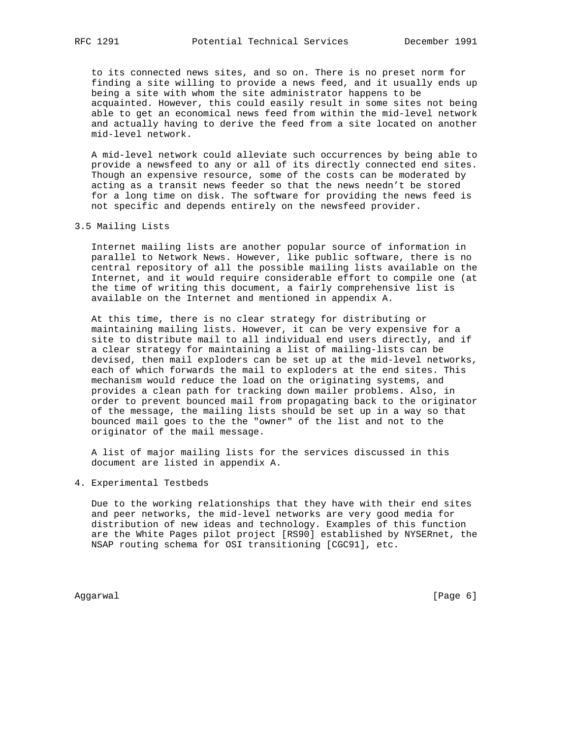to its connected news sites, and so on. There is no preset norm for finding a site willing to provide a news feed, and it usually ends up being a site with whom the site administrator happens to be acquainted. However, this could easily result in some sites not being able to get an economical news feed from within the mid-level network and actually having to derive the feed from a site located on another mid-level network.

 A mid-level network could alleviate such occurrences by being able to provide a newsfeed to any or all of its directly connected end sites. Though an expensive resource, some of the costs can be moderated by acting as a transit news feeder so that the news needn't be stored for a long time on disk. The software for providing the news feed is not specific and depends entirely on the newsfeed provider.

3.5 Mailing Lists

 Internet mailing lists are another popular source of information in parallel to Network News. However, like public software, there is no central repository of all the possible mailing lists available on the Internet, and it would require considerable effort to compile one (at the time of writing this document, a fairly comprehensive list is available on the Internet and mentioned in appendix A.

 At this time, there is no clear strategy for distributing or maintaining mailing lists. However, it can be very expensive for a site to distribute mail to all individual end users directly, and if a clear strategy for maintaining a list of mailing-lists can be devised, then mail exploders can be set up at the mid-level networks, each of which forwards the mail to exploders at the end sites. This mechanism would reduce the load on the originating systems, and provides a clean path for tracking down mailer problems. Also, in order to prevent bounced mail from propagating back to the originator of the message, the mailing lists should be set up in a way so that bounced mail goes to the the "owner" of the list and not to the originator of the mail message.

 A list of major mailing lists for the services discussed in this document are listed in appendix A.

4. Experimental Testbeds

 Due to the working relationships that they have with their end sites and peer networks, the mid-level networks are very good media for distribution of new ideas and technology. Examples of this function are the White Pages pilot project [RS90] established by NYSERnet, the NSAP routing schema for OSI transitioning [CGC91], etc.

Aggarwal [Page 6]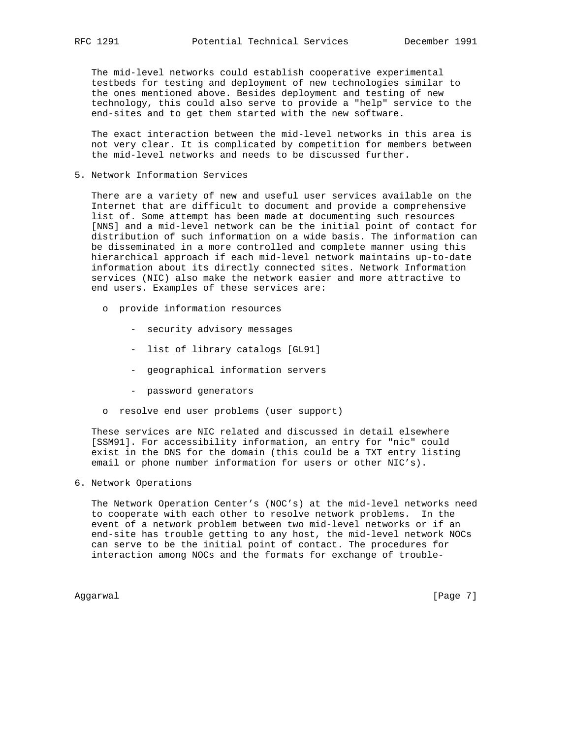The mid-level networks could establish cooperative experimental testbeds for testing and deployment of new technologies similar to the ones mentioned above. Besides deployment and testing of new technology, this could also serve to provide a "help" service to the end-sites and to get them started with the new software.

 The exact interaction between the mid-level networks in this area is not very clear. It is complicated by competition for members between the mid-level networks and needs to be discussed further.

5. Network Information Services

 There are a variety of new and useful user services available on the Internet that are difficult to document and provide a comprehensive list of. Some attempt has been made at documenting such resources [NNS] and a mid-level network can be the initial point of contact for distribution of such information on a wide basis. The information can be disseminated in a more controlled and complete manner using this hierarchical approach if each mid-level network maintains up-to-date information about its directly connected sites. Network Information services (NIC) also make the network easier and more attractive to end users. Examples of these services are:

- o provide information resources
	- security advisory messages
	- list of library catalogs [GL91]
	- geographical information servers
	- password generators
- o resolve end user problems (user support)

 These services are NIC related and discussed in detail elsewhere [SSM91]. For accessibility information, an entry for "nic" could exist in the DNS for the domain (this could be a TXT entry listing email or phone number information for users or other NIC's).

6. Network Operations

 The Network Operation Center's (NOC's) at the mid-level networks need to cooperate with each other to resolve network problems. In the event of a network problem between two mid-level networks or if an end-site has trouble getting to any host, the mid-level network NOCs can serve to be the initial point of contact. The procedures for interaction among NOCs and the formats for exchange of trouble-

Aggarwal [Page 7]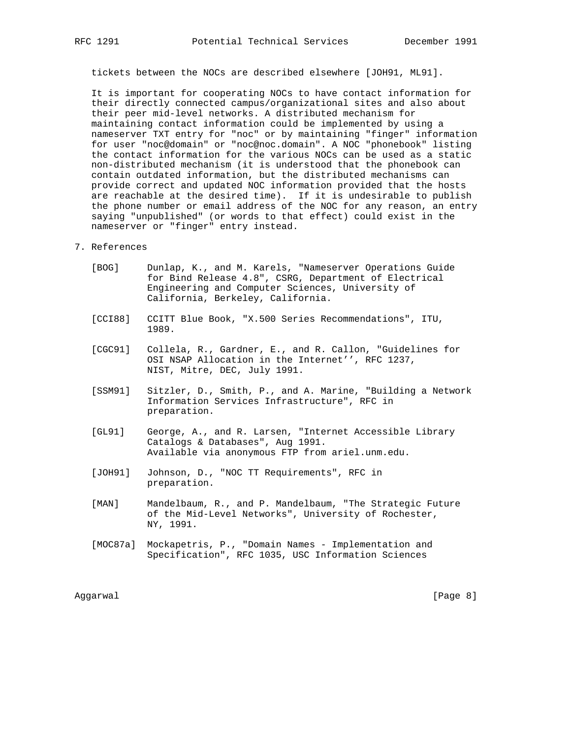tickets between the NOCs are described elsewhere [JOH91, ML91].

 It is important for cooperating NOCs to have contact information for their directly connected campus/organizational sites and also about their peer mid-level networks. A distributed mechanism for maintaining contact information could be implemented by using a nameserver TXT entry for "noc" or by maintaining "finger" information for user "noc@domain" or "noc@noc.domain". A NOC "phonebook" listing the contact information for the various NOCs can be used as a static non-distributed mechanism (it is understood that the phonebook can contain outdated information, but the distributed mechanisms can provide correct and updated NOC information provided that the hosts are reachable at the desired time). If it is undesirable to publish the phone number or email address of the NOC for any reason, an entry saying "unpublished" (or words to that effect) could exist in the nameserver or "finger" entry instead.

## 7. References

- [BOG] Dunlap, K., and M. Karels, "Nameserver Operations Guide for Bind Release 4.8", CSRG, Department of Electrical Engineering and Computer Sciences, University of California, Berkeley, California.
- [CCI88] CCITT Blue Book, "X.500 Series Recommendations", ITU, 1989.
- [CGC91] Collela, R., Gardner, E., and R. Callon, "Guidelines for OSI NSAP Allocation in the Internet'', RFC 1237, NIST, Mitre, DEC, July 1991.
- [SSM91] Sitzler, D., Smith, P., and A. Marine, "Building a Network Information Services Infrastructure", RFC in preparation.
- [GL91] George, A., and R. Larsen, "Internet Accessible Library Catalogs & Databases", Aug 1991. Available via anonymous FTP from ariel.unm.edu.
- [JOH91] Johnson, D., "NOC TT Requirements", RFC in preparation.
- [MAN] Mandelbaum, R., and P. Mandelbaum, "The Strategic Future of the Mid-Level Networks", University of Rochester, NY, 1991.
- [MOC87a] Mockapetris, P., "Domain Names Implementation and Specification", RFC 1035, USC Information Sciences

Aggarwal [Page 8]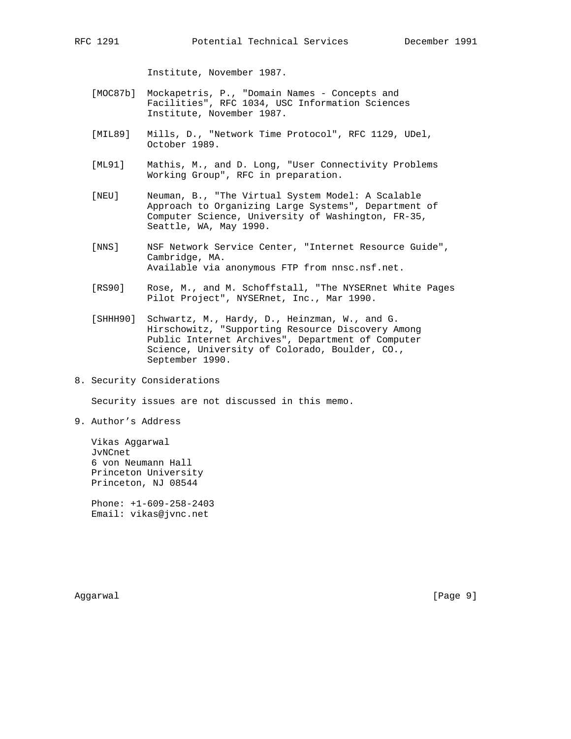Institute, November 1987.

- [MOC87b] Mockapetris, P., "Domain Names Concepts and Facilities", RFC 1034, USC Information Sciences Institute, November 1987.
- [MIL89] Mills, D., "Network Time Protocol", RFC 1129, UDel, October 1989.
- [ML91] Mathis, M., and D. Long, "User Connectivity Problems Working Group", RFC in preparation.
- [NEU] Neuman, B., "The Virtual System Model: A Scalable Approach to Organizing Large Systems", Department of Computer Science, University of Washington, FR-35, Seattle, WA, May 1990.
- [NNS] NSF Network Service Center, "Internet Resource Guide", Cambridge, MA. Available via anonymous FTP from nnsc.nsf.net.
- [RS90] Rose, M., and M. Schoffstall, "The NYSERnet White Pages Pilot Project", NYSERnet, Inc., Mar 1990.
- [SHHH90] Schwartz, M., Hardy, D., Heinzman, W., and G. Hirschowitz, "Supporting Resource Discovery Among Public Internet Archives", Department of Computer Science, University of Colorado, Boulder, CO., September 1990.
- 8. Security Considerations

Security issues are not discussed in this memo.

9. Author's Address

 Vikas Aggarwal JvNCnet 6 von Neumann Hall Princeton University Princeton, NJ 08544

 Phone: +1-609-258-2403 Email: vikas@jvnc.net

Aggarwal [Page 9]